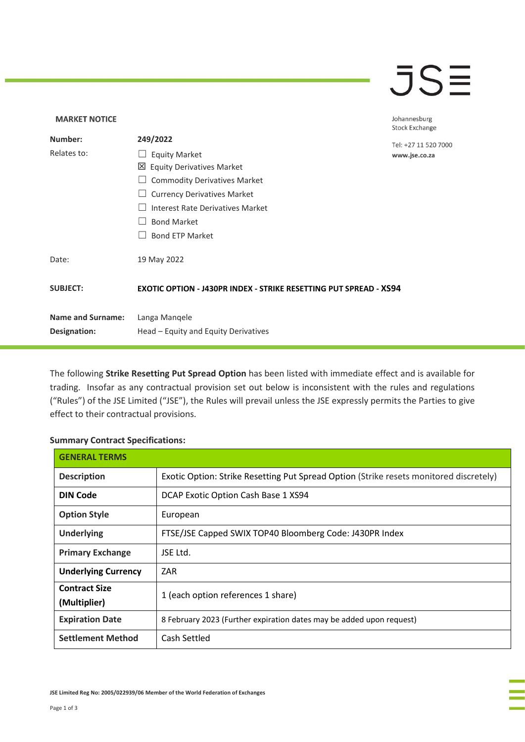## **JSE**

| <b>MARKET NOTICE</b>     |                                                                          | Johannesburg          |
|--------------------------|--------------------------------------------------------------------------|-----------------------|
| Number:                  | 249/2022                                                                 | <b>Stock Exchange</b> |
|                          |                                                                          | Tel: +27 11 520 7000  |
| Relates to:              | <b>Equity Market</b>                                                     | www.jse.co.za         |
|                          | <b>Equity Derivatives Market</b><br>⊠                                    |                       |
|                          | <b>Commodity Derivatives Market</b>                                      |                       |
|                          | <b>Currency Derivatives Market</b>                                       |                       |
|                          | Interest Rate Derivatives Market                                         |                       |
|                          | <b>Bond Market</b>                                                       |                       |
|                          | <b>Bond ETP Market</b>                                                   |                       |
| Date:                    | 19 May 2022                                                              |                       |
| <b>SUBJECT:</b>          | <b>EXOTIC OPTION - J430PR INDEX - STRIKE RESETTING PUT SPREAD - XS94</b> |                       |
| <b>Name and Surname:</b> | Langa Mangele                                                            |                       |
| Designation:             | Head - Equity and Equity Derivatives                                     |                       |

The following **Strike Resetting Put Spread Option** has been listed with immediate effect and is available for trading. Insofar as any contractual provision set out below is inconsistent with the rules and regulations ("Rules") of the JSE Limited ("JSE"), the Rules will prevail unless the JSE expressly permits the Parties to give effect to their contractual provisions.

## **Summary Contract Specifications:**

| <b>GENERAL TERMS</b>                 |                                                                                        |  |
|--------------------------------------|----------------------------------------------------------------------------------------|--|
| <b>Description</b>                   | Exotic Option: Strike Resetting Put Spread Option (Strike resets monitored discretely) |  |
| <b>DIN Code</b>                      | DCAP Exotic Option Cash Base 1 XS94                                                    |  |
| <b>Option Style</b>                  | European                                                                               |  |
| <b>Underlying</b>                    | FTSE/JSE Capped SWIX TOP40 Bloomberg Code: J430PR Index                                |  |
| <b>Primary Exchange</b>              | JSE Ltd.                                                                               |  |
| <b>Underlying Currency</b>           | ZAR                                                                                    |  |
| <b>Contract Size</b><br>(Multiplier) | 1 (each option references 1 share)                                                     |  |
| <b>Expiration Date</b>               | 8 February 2023 (Further expiration dates may be added upon request)                   |  |
| <b>Settlement Method</b>             | Cash Settled                                                                           |  |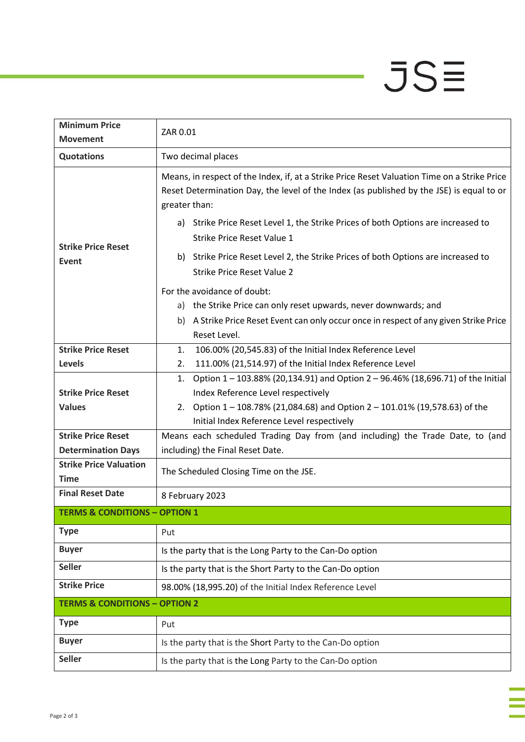## $JSE$

| <b>Minimum Price</b>                         | ZAR 0.01                                                                                                                                                                                                  |  |
|----------------------------------------------|-----------------------------------------------------------------------------------------------------------------------------------------------------------------------------------------------------------|--|
| <b>Movement</b>                              |                                                                                                                                                                                                           |  |
| <b>Quotations</b>                            | Two decimal places                                                                                                                                                                                        |  |
| <b>Strike Price Reset</b><br>Event           | Means, in respect of the Index, if, at a Strike Price Reset Valuation Time on a Strike Price<br>Reset Determination Day, the level of the Index (as published by the JSE) is equal to or<br>greater than: |  |
|                                              | a) Strike Price Reset Level 1, the Strike Prices of both Options are increased to<br><b>Strike Price Reset Value 1</b>                                                                                    |  |
|                                              | Strike Price Reset Level 2, the Strike Prices of both Options are increased to<br>b)<br><b>Strike Price Reset Value 2</b>                                                                                 |  |
|                                              | For the avoidance of doubt:                                                                                                                                                                               |  |
|                                              | a) the Strike Price can only reset upwards, never downwards; and                                                                                                                                          |  |
|                                              | A Strike Price Reset Event can only occur once in respect of any given Strike Price<br>b)                                                                                                                 |  |
|                                              | Reset Level.                                                                                                                                                                                              |  |
| <b>Strike Price Reset</b>                    | 106.00% (20,545.83) of the Initial Index Reference Level<br>1.                                                                                                                                            |  |
| <b>Levels</b>                                | 111.00% (21,514.97) of the Initial Index Reference Level<br>2.                                                                                                                                            |  |
|                                              | Option 1 - 103.88% (20,134.91) and Option 2 - 96.46% (18,696.71) of the Initial<br>1.                                                                                                                     |  |
| <b>Strike Price Reset</b>                    | Index Reference Level respectively                                                                                                                                                                        |  |
| <b>Values</b>                                | 2. Option $1 - 108.78\%$ (21,084.68) and Option 2 - 101.01% (19,578.63) of the                                                                                                                            |  |
|                                              | Initial Index Reference Level respectively                                                                                                                                                                |  |
| <b>Strike Price Reset</b>                    | Means each scheduled Trading Day from (and including) the Trade Date, to (and                                                                                                                             |  |
| <b>Determination Days</b>                    | including) the Final Reset Date.                                                                                                                                                                          |  |
| <b>Strike Price Valuation</b><br><b>Time</b> | The Scheduled Closing Time on the JSE.                                                                                                                                                                    |  |
| <b>Final Reset Date</b>                      | 8 February 2023                                                                                                                                                                                           |  |
| <b>TERMS &amp; CONDITIONS - OPTION 1</b>     |                                                                                                                                                                                                           |  |
| <b>Type</b>                                  | Put                                                                                                                                                                                                       |  |
| <b>Buyer</b>                                 | Is the party that is the Long Party to the Can-Do option                                                                                                                                                  |  |
| <b>Seller</b>                                | Is the party that is the Short Party to the Can-Do option                                                                                                                                                 |  |
| <b>Strike Price</b>                          | 98.00% (18,995.20) of the Initial Index Reference Level                                                                                                                                                   |  |
| <b>TERMS &amp; CONDITIONS - OPTION 2</b>     |                                                                                                                                                                                                           |  |
| <b>Type</b>                                  | Put                                                                                                                                                                                                       |  |
| <b>Buyer</b>                                 | Is the party that is the Short Party to the Can-Do option                                                                                                                                                 |  |
| <b>Seller</b>                                | Is the party that is the Long Party to the Can-Do option                                                                                                                                                  |  |
|                                              |                                                                                                                                                                                                           |  |